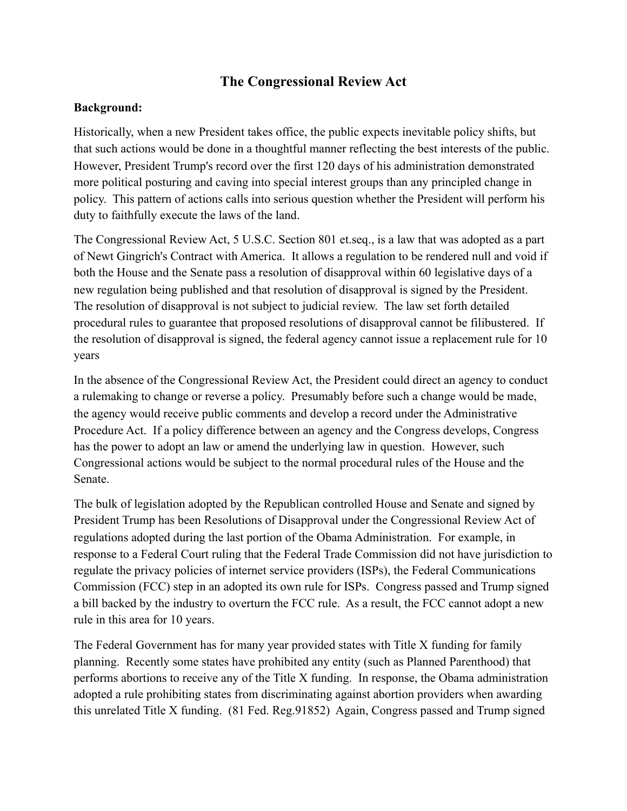## **The Congressional Review Act**

## **Background:**

Historically, when a new President takes office, the public expects inevitable policy shifts, but that such actions would be done in a thoughtful manner reflecting the best interests of the public. However, President Trump's record over the first 120 days of his administration demonstrated more political posturing and caving into special interest groups than any principled change in policy. This pattern of actions calls into serious question whether the President will perform his duty to faithfully execute the laws of the land.

The Congressional Review Act, 5 U.S.C. Section 801 et.seq., is a law that was adopted as a part of Newt Gingrich's Contract with America. It allows a regulation to be rendered null and void if both the House and the Senate pass a resolution of disapproval within 60 legislative days of a new regulation being published and that resolution of disapproval is signed by the President. The resolution of disapproval is not subject to judicial review. The law set forth detailed procedural rules to guarantee that proposed resolutions of disapproval cannot be filibustered. If the resolution of disapproval is signed, the federal agency cannot issue a replacement rule for 10 years

In the absence of the Congressional Review Act, the President could direct an agency to conduct a rulemaking to change or reverse a policy. Presumably before such a change would be made, the agency would receive public comments and develop a record under the Administrative Procedure Act. If a policy difference between an agency and the Congress develops, Congress has the power to adopt an law or amend the underlying law in question. However, such Congressional actions would be subject to the normal procedural rules of the House and the Senate.

The bulk of legislation adopted by the Republican controlled House and Senate and signed by President Trump has been Resolutions of Disapproval under the Congressional Review Act of regulations adopted during the last portion of the Obama Administration. For example, in response to a Federal Court ruling that the Federal Trade Commission did not have jurisdiction to regulate the privacy policies of internet service providers (ISPs), the Federal Communications Commission (FCC) step in an adopted its own rule for ISPs. Congress passed and Trump signed a bill backed by the industry to overturn the FCC rule. As a result, the FCC cannot adopt a new rule in this area for 10 years.

The Federal Government has for many year provided states with Title X funding for family planning. Recently some states have prohibited any entity (such as Planned Parenthood) that performs abortions to receive any of the Title X funding. In response, the Obama administration adopted a rule prohibiting states from discriminating against abortion providers when awarding this unrelated Title X funding. (81 Fed. Reg.91852) Again, Congress passed and Trump signed